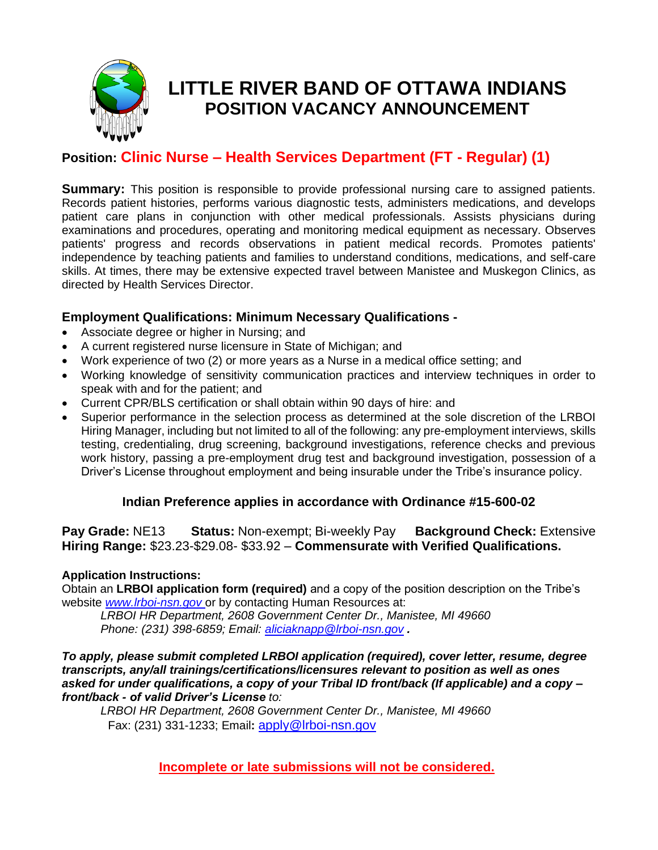

# **LITTLE RIVER BAND OF OTTAWA INDIANS POSITION VACANCY ANNOUNCEMENT**

# **Position: Clinic Nurse – Health Services Department (FT - Regular) (1)**

**Summary:** This position is responsible to provide professional nursing care to assigned patients. Records patient histories, performs various diagnostic tests, administers medications, and develops patient care plans in conjunction with other medical professionals. Assists physicians during examinations and procedures, operating and monitoring medical equipment as necessary. Observes patients' progress and records observations in patient medical records. Promotes patients' independence by teaching patients and families to understand conditions, medications, and self-care skills. At times, there may be extensive expected travel between Manistee and Muskegon Clinics, as directed by Health Services Director.

## **Employment Qualifications: Minimum Necessary Qualifications -**

- Associate degree or higher in Nursing; and
- A current registered nurse licensure in State of Michigan; and
- Work experience of two (2) or more years as a Nurse in a medical office setting; and
- Working knowledge of sensitivity communication practices and interview techniques in order to speak with and for the patient; and
- Current CPR/BLS certification or shall obtain within 90 days of hire: and
- Superior performance in the selection process as determined at the sole discretion of the LRBOI Hiring Manager, including but not limited to all of the following: any pre-employment interviews, skills testing, credentialing, drug screening, background investigations, reference checks and previous work history, passing a pre-employment drug test and background investigation, possession of a Driver's License throughout employment and being insurable under the Tribe's insurance policy.

### **Indian Preference applies in accordance with Ordinance #15-600-02**

**Pay Grade:** NE13 **Status:** Non-exempt; Bi-weekly Pay **Background Check:** Extensive **Hiring Range:** \$23.23-\$29.08- \$33.92 – **Commensurate with Verified Qualifications.**

#### **Application Instructions:**

Obtain an **LRBOI application form (required)** and a copy of the position description on the Tribe's website *[www.lrboi-nsn.gov](http://www.lrboi-nsn.gov/)* or by contacting Human Resources at:

*LRBOI HR Department, 2608 Government Center Dr., Manistee, MI 49660 Phone: (231) 398-6859; Email: [aliciaknapp@lrboi-nsn.gov](mailto:aliciaknapp@lrboi-nsn.gov) .* 

#### *To apply, please submit completed LRBOI application (required), cover letter, resume, degree transcripts, any/all trainings/certifications/licensures relevant to position as well as ones asked for under qualifications, a copy of your Tribal ID front/back (If applicable) and a copy – front/back - of valid Driver's License to:*

*LRBOI HR Department, 2608 Government Center Dr., Manistee, MI 49660* Fax: (231) 331-1233; Email**:** [apply@lrboi-nsn.gov](mailto:apply@lrboi-nsn.gov)

**Incomplete or late submissions will not be considered.**